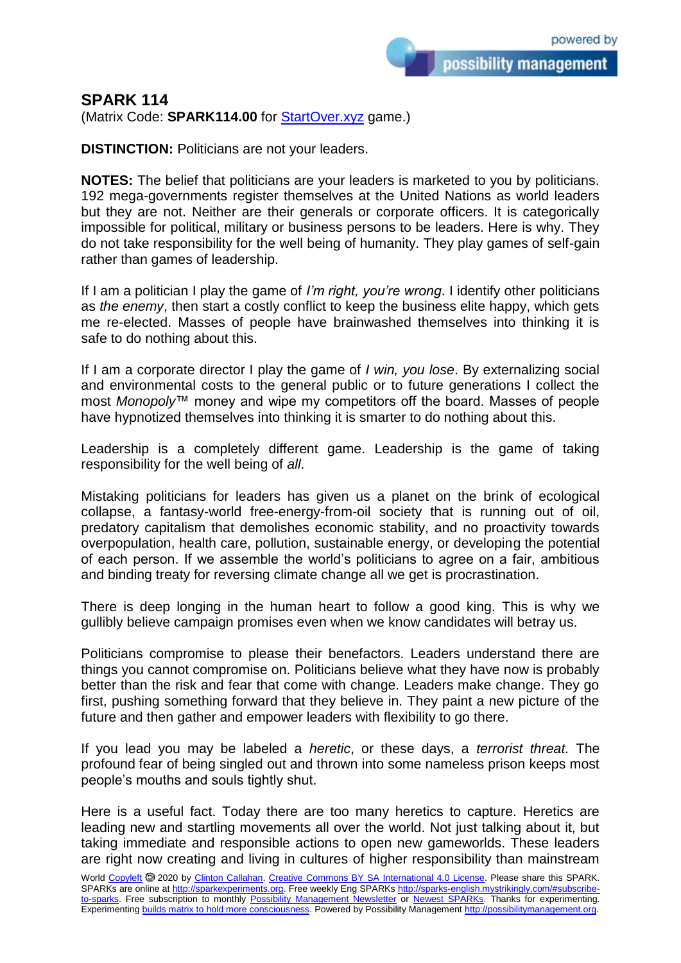possibility management

## **SPARK 114**

(Matrix Code: **SPARK114.00** for **StartOver.xyz** game.)

**DISTINCTION:** Politicians are not your leaders.

**NOTES:** The belief that politicians are your leaders is marketed to you by politicians. 192 mega-governments register themselves at the United Nations as world leaders but they are not. Neither are their generals or corporate officers. It is categorically impossible for political, military or business persons to be leaders. Here is why. They do not take responsibility for the well being of humanity. They play games of self-gain rather than games of leadership.

If I am a politician I play the game of *I'm right, you're wrong*. I identify other politicians as *the enemy*, then start a costly conflict to keep the business elite happy, which gets me re-elected. Masses of people have brainwashed themselves into thinking it is safe to do nothing about this.

If I am a corporate director I play the game of *I win, you lose*. By externalizing social and environmental costs to the general public or to future generations I collect the most *Monopoly*™ money and wipe my competitors off the board. Masses of people have hypnotized themselves into thinking it is smarter to do nothing about this.

Leadership is a completely different game. Leadership is the game of taking responsibility for the well being of *all*.

Mistaking politicians for leaders has given us a planet on the brink of ecological collapse, a fantasy-world free-energy-from-oil society that is running out of oil, predatory capitalism that demolishes economic stability, and no proactivity towards overpopulation, health care, pollution, sustainable energy, or developing the potential of each person. If we assemble the world's politicians to agree on a fair, ambitious and binding treaty for reversing climate change all we get is procrastination.

There is deep longing in the human heart to follow a good king. This is why we gullibly believe campaign promises even when we know candidates will betray us.

Politicians compromise to please their benefactors. Leaders understand there are things you cannot compromise on. Politicians believe what they have now is probably better than the risk and fear that come with change. Leaders make change. They go first, pushing something forward that they believe in. They paint a new picture of the future and then gather and empower leaders with flexibility to go there.

If you lead you may be labeled a *heretic*, or these days, a *terrorist threat.* The profound fear of being singled out and thrown into some nameless prison keeps most people's mouths and souls tightly shut.

Here is a useful fact. Today there are too many heretics to capture. Heretics are leading new and startling movements all over the world. Not just talking about it, but taking immediate and responsible actions to open new gameworlds. These leaders are right now creating and living in cultures of higher responsibility than mainstream